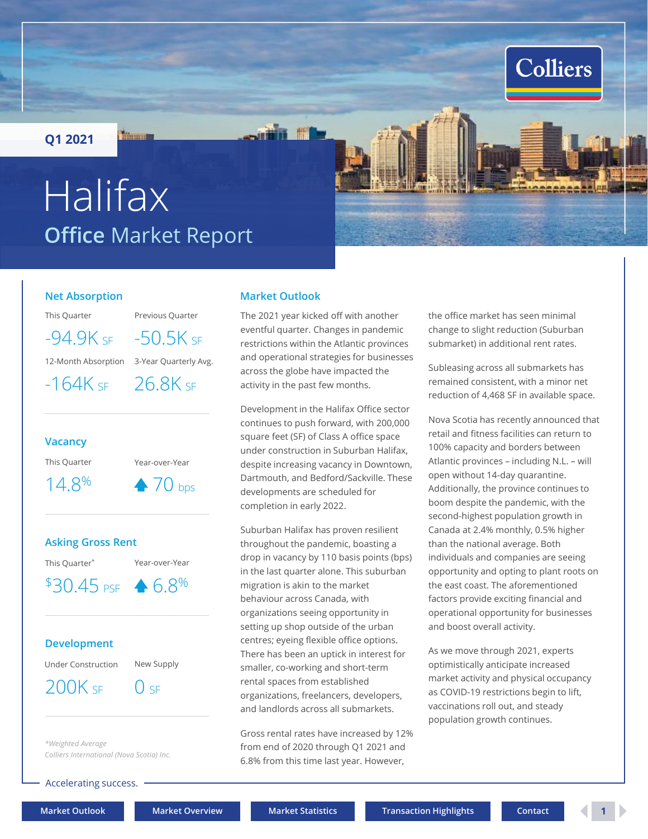<span id="page-0-0"></span>**Q1 2021**

**Thomas** 

# **Office** Market Report Halifax

#### **Net Absorption**

This Quarter Previous Quarter

12-Month Absorption 3-Year Quarterly Avg.  $-94.9K$  SF  $-50.5K$  SF

 $-164K$  SF  $-26.8K$  SF



#### **Asking Gross Rent**

 $$30.45 \text{ ps} \rightarrow 6.8\%$ 

This Quarter\* Year-over-Year

#### **Development**

Under Construction New Supply

 $200K$  SF  $\qquad$  0 SF

*\*Weighted Average Colliers International (Nova Scotia) Inc.*

Accelerating success.

#### **Market Outlook**

The 2021 year kicked off with another eventful quarter. Changes in pandemic restrictions within the Atlantic provinces and operational strategies for businesses across the globe have impacted the activity in the past few months.

Development in the Halifax Office sector continues to push forward, with 200,000 square feet (SF) of Class A office space under construction in Suburban Halifax, despite increasing vacancy in Downtown, Dartmouth, and Bedford/Sackville. These developments are scheduled for completion in early 2022.

Suburban Halifax has proven resilient throughout the pandemic, boasting a drop in vacancy by 110 basis points (bps) in the last quarter alone. This suburban migration is akin to the market behaviour across Canada, with organizations seeing opportunity in setting up shop outside of the urban centres; eyeing flexible office options. There has been an uptick in interest for smaller, co-working and short-term rental spaces from established organizations, freelancers, developers, and landlords across all submarkets.

Gross rental rates have increased by 12% from end of 2020 through Q1 2021 and 6.8% from this time last year. However,

the office market has seen minimal change to slight reduction (Suburban submarket) in additional rent rates.

**Colliers** 

Subleasing across all submarkets has remained consistent, with a minor net reduction of 4,468 SF in available space.

Nova Scotia has recently announced that retail and fitness facilities can return to 100% capacity and borders between Atlantic provinces – including N.L. – will open without 14-day quarantine. Additionally, the province continues to boom despite the pandemic, with the second-highest population growth in Canada at 2.4% monthly, 0.5% higher than the national average. Both individuals and companies are seeing opportunity and opting to plant roots on the east coast. The aforementioned factors provide exciting financial and operational opportunity for businesses and boost overall activity.

As we move through 2021, experts optimistically anticipate increased market activity and physical occupancy as COVID-19 restrictions begin to lift, vaccinations roll out, and steady population growth continues.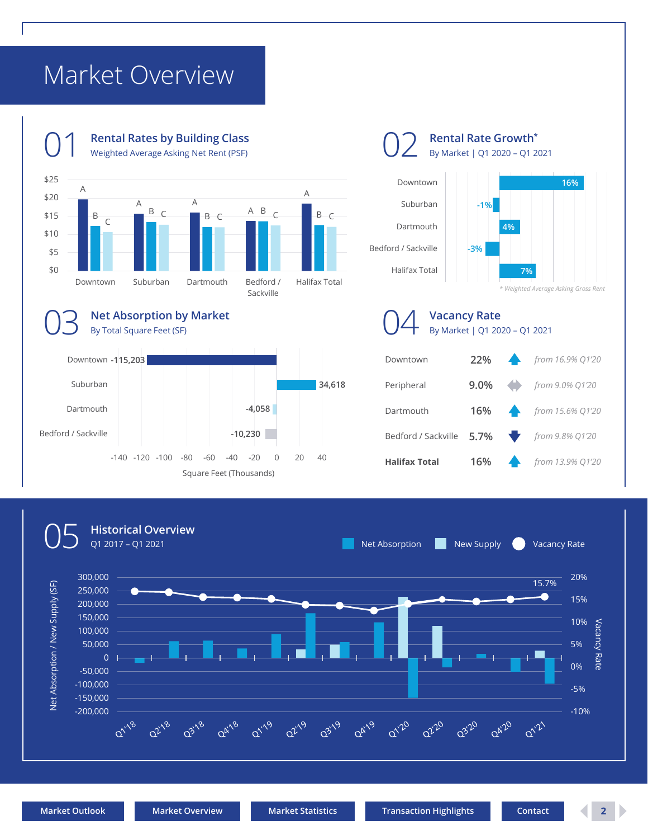## <span id="page-1-0"></span>Market Overview



**Rental Rate Growth\*** By Market | Q1 2020 – Q1 2021

**Vacancy Rate**





Downtown **22%** *from 16.9% Q1'20* Peripheral **9.0%** *from 9.0% Q1'20* Dartmouth **16%** *from 15.6% Q1'20* By Market | Q1 2020 – Q1 2021

Bedford / Sackville **5.7%** *from 9.8% Q1'20*

**Halifax Total 16%** *from 13.9% Q1'20*

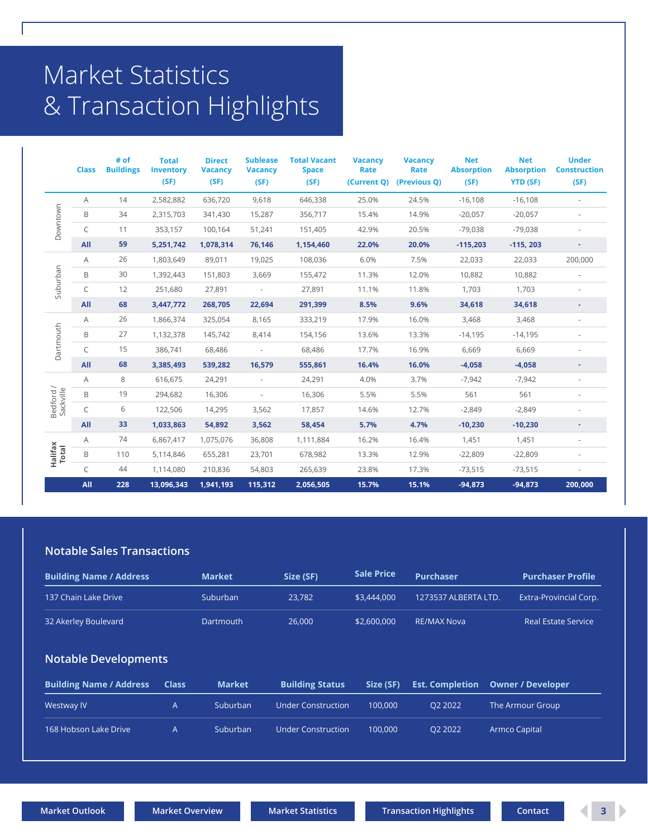## <span id="page-2-0"></span>Market Statistics & Transaction Highlights

|                        | <b>Class</b> | # of<br><b>Buildings</b> | <b>Total</b><br><b>Inventory</b><br>(SF) | <b>Direct</b><br><b>Vacancy</b><br>(SF) | <b>Sublease</b><br><b>Vacancy</b><br>(SF) | <b>Total Vacant</b><br><b>Space</b><br>(SF) | <b>Vacancy</b><br>Rate<br>(Current Q) | <b>Vacancy</b><br>Rate<br>(Previous Q) | <b>Net</b><br><b>Absorption</b><br>(SF) | <b>Net</b><br><b>Absorption</b><br><b>YTD (SF)</b> | <b>Under</b><br><b>Construction</b><br>(SF) |
|------------------------|--------------|--------------------------|------------------------------------------|-----------------------------------------|-------------------------------------------|---------------------------------------------|---------------------------------------|----------------------------------------|-----------------------------------------|----------------------------------------------------|---------------------------------------------|
| Downtown               | Α            | 14                       | 2,582,882                                | 636,720                                 | 9,618                                     | 646,338                                     | 25.0%                                 | 24.5%                                  | $-16,108$                               | $-16,108$                                          | ×.                                          |
|                        | B            | 34                       | 2,315,703                                | 341,430                                 | 15,287                                    | 356,717                                     | 15.4%                                 | 14.9%                                  | $-20,057$                               | $-20,057$                                          |                                             |
|                        | C            | 11                       | 353,157                                  | 100,164                                 | 51,241                                    | 151,405                                     | 42.9%                                 | 20.5%                                  | $-79,038$                               | $-79,038$                                          |                                             |
|                        | All          | 59                       | 5,251,742                                | 1,078,314                               | 76,146                                    | 1,154,460                                   | 22.0%                                 | 20.0%                                  | $-115,203$                              | $-115, 203$                                        | ٠                                           |
| Suburban               | A            | 26                       | 1,803,649                                | 89,011                                  | 19,025                                    | 108,036                                     | 6.0%                                  | 7.5%                                   | 22,033                                  | 22,033                                             | 200,000                                     |
|                        | B            | 30                       | 1,392,443                                | 151,803                                 | 3,669                                     | 155,472                                     | 11.3%                                 | 12.0%                                  | 10,882                                  | 10,882                                             |                                             |
|                        | C            | 12                       | 251,680                                  | 27,891                                  |                                           | 27,891                                      | 11.1%                                 | 11.8%                                  | 1,703                                   | 1,703                                              |                                             |
|                        | All          | 68                       | 3,447,772                                | 268,705                                 | 22,694                                    | 291,399                                     | 8.5%                                  | 9.6%                                   | 34,618                                  | 34,618                                             |                                             |
| Dartmouth              | Α            | 26                       | 1,866,374                                | 325,054                                 | 8,165                                     | 333,219                                     | 17.9%                                 | 16.0%                                  | 3,468                                   | 3,468                                              |                                             |
|                        | B            | 27                       | 1,132,378                                | 145,742                                 | 8,414                                     | 154,156                                     | 13.6%                                 | 13.3%                                  | $-14,195$                               | $-14,195$                                          |                                             |
|                        | C            | 15                       | 386,741                                  | 68,486                                  |                                           | 68,486                                      | 17.7%                                 | 16.9%                                  | 6,669                                   | 6,669                                              |                                             |
|                        | All          | 68                       | 3,385,493                                | 539,282                                 | 16,579                                    | 555,861                                     | 16.4%                                 | 16.0%                                  | $-4,058$                                | $-4,058$                                           |                                             |
|                        | A            | 8                        | 616,675                                  | 24,291                                  | ÷.                                        | 24,291                                      | 4.0%                                  | 3.7%                                   | $-7,942$                                | $-7,942$                                           |                                             |
| Bedford /<br>Sackville | B            | 19                       | 294,682                                  | 16,306                                  |                                           | 16,306                                      | 5.5%                                  | 5.5%                                   | 561                                     | 561                                                |                                             |
|                        | C            | 6                        | 122,506                                  | 14,295                                  | 3,562                                     | 17,857                                      | 14.6%                                 | 12.7%                                  | $-2,849$                                | $-2,849$                                           |                                             |
|                        | All          | 33                       | 1,033,863                                | 54,892                                  | 3,562                                     | 58,454                                      | 5.7%                                  | 4.7%                                   | $-10,230$                               | $-10,230$                                          |                                             |
|                        | Α            | 74                       | 6,867,417                                | 1,075,076                               | 36,808                                    | 1,111,884                                   | 16.2%                                 | 16.4%                                  | 1,451                                   | 1,451                                              |                                             |
| Halifax<br>Total       | B            | 110                      | 5,114,846                                | 655,281                                 | 23,701                                    | 678,982                                     | 13.3%                                 | 12.9%                                  | $-22,809$                               | $-22,809$                                          |                                             |
|                        | C            | 44                       | 1,114,080                                | 210,836                                 | 54,803                                    | 265,639                                     | 23.8%                                 | 17.3%                                  | $-73,515$                               | $-73,515$                                          |                                             |
|                        | All          | 228                      | 13,096,343                               | 1,941,193                               | 115,312                                   | 2,056,505                                   | 15.7%                                 | 15.1%                                  | $-94,873$                               | $-94,873$                                          | $\overline{200,000}$                        |

### **Notable Sales Transactions**

| <b>Building Name / Address</b> |                | <b>Market</b> | Size (SF)                 | <b>Sale Price</b> | <b>Purchaser</b>       | <b>Purchaser Profile</b>   |
|--------------------------------|----------------|---------------|---------------------------|-------------------|------------------------|----------------------------|
| 137 Chain Lake Drive           |                | Suburban      | 23.782                    | \$3,444,000       | 1273537 ALBERTA LTD.   | Extra-Provincial Corp.     |
| 32 Akerley Boulevard           |                | Dartmouth     | 26,000                    | \$2,600,000       | <b>RE/MAX Nova</b>     | <b>Real Estate Service</b> |
| <b>Notable Developments</b>    |                |               |                           |                   |                        |                            |
| <b>Building Name / Address</b> | <b>Class</b>   | <b>Market</b> | <b>Building Status</b>    | Size (SF)         | <b>Est. Completion</b> | <b>Owner / Developer</b>   |
| <b>Westway IV</b>              | $\overline{A}$ | Suburban      | <b>Under Construction</b> | 100.000           | O2 2022                | The Armour Group           |
| 168 Hobson Lake Drive          | A              | Suburban      | <b>Under Construction</b> | 100.000           | O <sub>2</sub> 2022    | <b>Armco Capital</b>       |